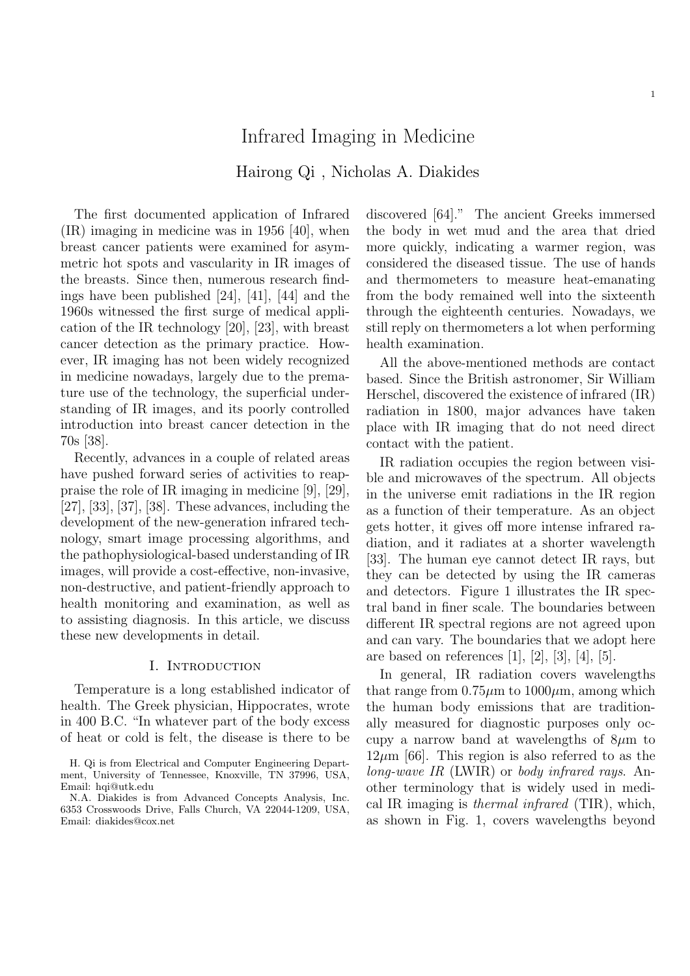# Infrared Imaging in Medicine

# Hairong Qi , Nicholas A. Diakides

The first documented application of Infrared (IR) imaging in medicine was in 1956 [40], when breast cancer patients were examined for asymmetric hot spots and vascularity in IR images of the breasts. Since then, numerous research findings have been published [24], [41], [44] and the 1960s witnessed the first surge of medical application of the IR technology [20], [23], with breast cancer detection as the primary practice. However, IR imaging has not been widely recognized in medicine nowadays, largely due to the premature use of the technology, the superficial understanding of IR images, and its poorly controlled introduction into breast cancer detection in the 70s [38].

Recently, advances in a couple of related areas have pushed forward series of activities to reappraise the role of IR imaging in medicine [9], [29], [27], [33], [37], [38]. These advances, including the development of the new-generation infrared technology, smart image processing algorithms, and the pathophysiological-based understanding of IR images, will provide a cost-effective, non-invasive, non-destructive, and patient-friendly approach to health monitoring and examination, as well as to assisting diagnosis. In this article, we discuss these new developments in detail.

#### I. INTRODUCTION

Temperature is a long established indicator of health. The Greek physician, Hippocrates, wrote in 400 B.C. "In whatever part of the body excess of heat or cold is felt, the disease is there to be

discovered [64]." The ancient Greeks immersed the body in wet mud and the area that dried more quickly, indicating a warmer region, was considered the diseased tissue. The use of hands and thermometers to measure heat-emanating from the body remained well into the sixteenth through the eighteenth centuries. Nowadays, we still reply on thermometers a lot when performing health examination.

All the above-mentioned methods are contact based. Since the British astronomer, Sir William Herschel, discovered the existence of infrared (IR) radiation in 1800, major advances have taken place with IR imaging that do not need direct contact with the patient.

IR radiation occupies the region between visible and microwaves of the spectrum. All objects in the universe emit radiations in the IR region as a function of their temperature. As an object gets hotter, it gives off more intense infrared radiation, and it radiates at a shorter wavelength [33]. The human eye cannot detect IR rays, but they can be detected by using the IR cameras and detectors. Figure 1 illustrates the IR spectral band in finer scale. The boundaries between different IR spectral regions are not agreed upon and can vary. The boundaries that we adopt here are based on references  $[1]$ ,  $[2]$ ,  $[3]$ ,  $[4]$ ,  $[5]$ .

In general, IR radiation covers wavelengths that range from  $0.75\mu$ m to  $1000\mu$ m, among which the human body emissions that are traditionally measured for diagnostic purposes only occupy a narrow band at wavelengths of  $8\mu$ m to  $12\mu$ m [66]. This region is also referred to as the long-wave IR (LWIR) or body infrared rays. Another terminology that is widely used in medical IR imaging is thermal infrared (TIR), which, as shown in Fig. 1, covers wavelengths beyond

H. Qi is from Electrical and Computer Engineering Department, University of Tennessee, Knoxville, TN 37996, USA, Email: hqi@utk.edu

N.A. Diakides is from Advanced Concepts Analysis, Inc. 6353 Crosswoods Drive, Falls Church, VA 22044-1209, USA, Email: diakides@cox.net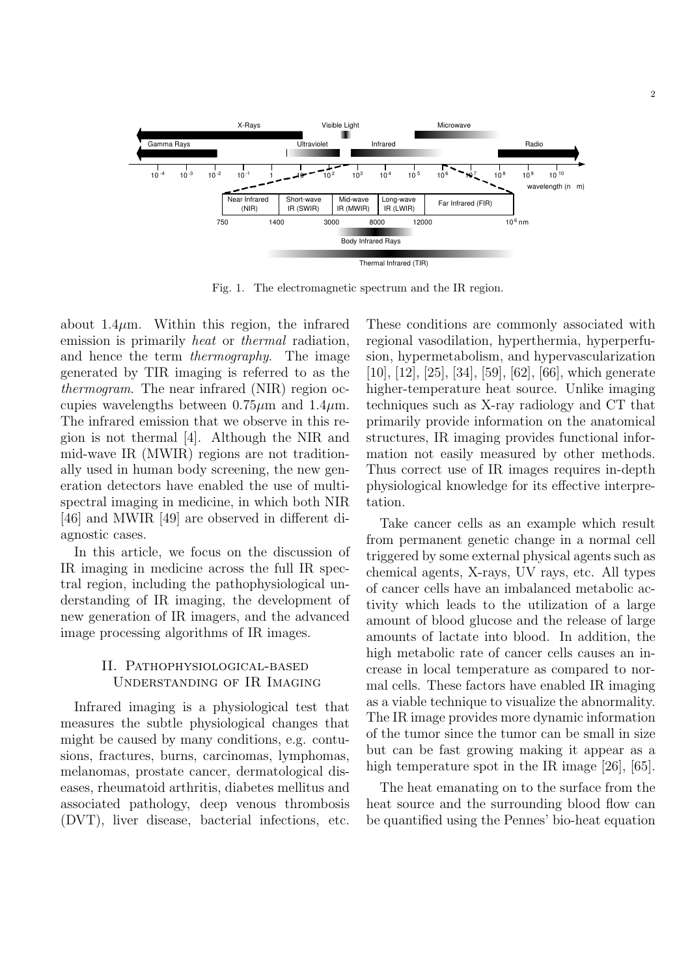

Fig. 1. The electromagnetic spectrum and the IR region.

about  $1.4\mu$ m. Within this region, the infrared emission is primarily *heat* or *thermal* radiation, and hence the term thermography. The image generated by TIR imaging is referred to as the thermogram. The near infrared (NIR) region occupies wavelengths between  $0.75\mu m$  and  $1.4\mu m$ . The infrared emission that we observe in this region is not thermal [4]. Although the NIR and mid-wave IR (MWIR) regions are not traditionally used in human body screening, the new generation detectors have enabled the use of multispectral imaging in medicine, in which both NIR [46] and MWIR [49] are observed in different diagnostic cases.

In this article, we focus on the discussion of IR imaging in medicine across the full IR spectral region, including the pathophysiological understanding of IR imaging, the development of new generation of IR imagers, and the advanced image processing algorithms of IR images.

### II. Pathophysiological-based Understanding of IR Imaging

Infrared imaging is a physiological test that measures the subtle physiological changes that might be caused by many conditions, e.g. contusions, fractures, burns, carcinomas, lymphomas, melanomas, prostate cancer, dermatological diseases, rheumatoid arthritis, diabetes mellitus and associated pathology, deep venous thrombosis (DVT), liver disease, bacterial infections, etc. These conditions are commonly associated with regional vasodilation, hyperthermia, hyperperfusion, hypermetabolism, and hypervascularization [10], [12], [25], [34], [59], [62], [66], which generate higher-temperature heat source. Unlike imaging techniques such as X-ray radiology and CT that primarily provide information on the anatomical structures, IR imaging provides functional information not easily measured by other methods. Thus correct use of IR images requires in-depth physiological knowledge for its effective interpretation.

Take cancer cells as an example which result from permanent genetic change in a normal cell triggered by some external physical agents such as chemical agents, X-rays, UV rays, etc. All types of cancer cells have an imbalanced metabolic activity which leads to the utilization of a large amount of blood glucose and the release of large amounts of lactate into blood. In addition, the high metabolic rate of cancer cells causes an increase in local temperature as compared to normal cells. These factors have enabled IR imaging as a viable technique to visualize the abnormality. The IR image provides more dynamic information of the tumor since the tumor can be small in size but can be fast growing making it appear as a high temperature spot in the IR image [26], [65].

The heat emanating on to the surface from the heat source and the surrounding blood flow can be quantified using the Pennes' bio-heat equation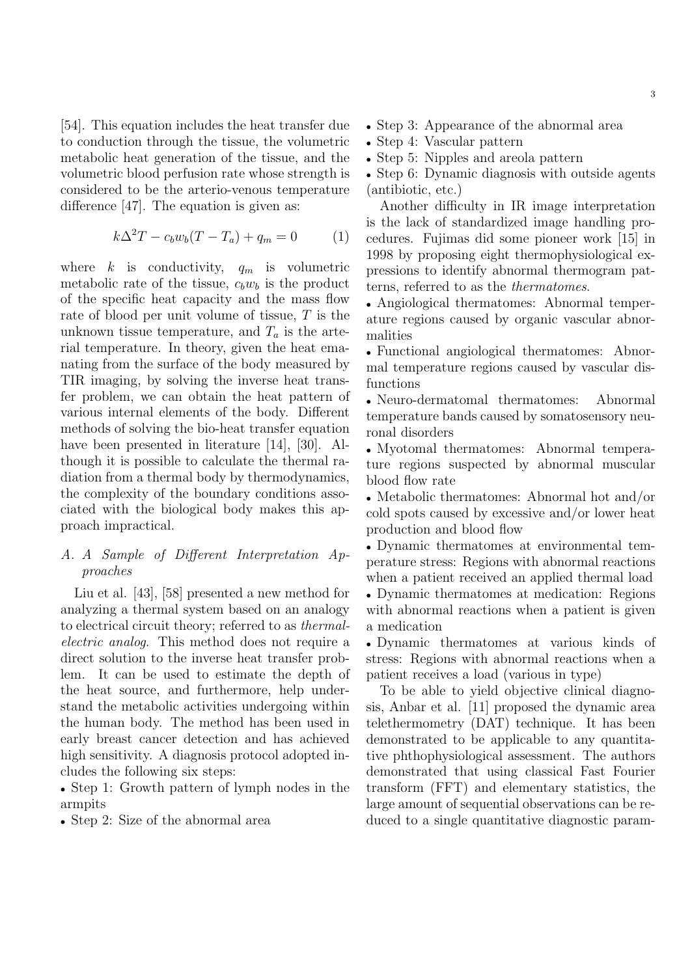[54]. This equation includes the heat transfer due to conduction through the tissue, the volumetric metabolic heat generation of the tissue, and the volumetric blood perfusion rate whose strength is considered to be the arterio-venous temperature difference [47]. The equation is given as:

$$
k\Delta^2 T - c_b w_b (T - T_a) + q_m = 0 \tag{1}
$$

where k is conductivity,  $q_m$  is volumetric metabolic rate of the tissue,  $c_b w_b$  is the product of the specific heat capacity and the mass flow rate of blood per unit volume of tissue, T is the unknown tissue temperature, and  $T_a$  is the arterial temperature. In theory, given the heat emanating from the surface of the body measured by TIR imaging, by solving the inverse heat transfer problem, we can obtain the heat pattern of various internal elements of the body. Different methods of solving the bio-heat transfer equation have been presented in literature [14], [30]. Although it is possible to calculate the thermal radiation from a thermal body by thermodynamics, the complexity of the boundary conditions associated with the biological body makes this approach impractical.

# A. A Sample of Different Interpretation Approaches

Liu et al. [43], [58] presented a new method for analyzing a thermal system based on an analogy to electrical circuit theory; referred to as thermalelectric analog. This method does not require a direct solution to the inverse heat transfer problem. It can be used to estimate the depth of the heat source, and furthermore, help understand the metabolic activities undergoing within the human body. The method has been used in early breast cancer detection and has achieved high sensitivity. A diagnosis protocol adopted includes the following six steps:

• Step 1: Growth pattern of lymph nodes in the armpits

• Step 2: Size of the abnormal area

- Step 3: Appearance of the abnormal area
- Step 4: Vascular pattern
- Step 5: Nipples and areola pattern

• Step 6: Dynamic diagnosis with outside agents (antibiotic, etc.)

Another difficulty in IR image interpretation is the lack of standardized image handling procedures. Fujimas did some pioneer work [15] in 1998 by proposing eight thermophysiological expressions to identify abnormal thermogram patterns, referred to as the thermatomes.

• Angiological thermatomes: Abnormal temperature regions caused by organic vascular abnormalities

• Functional angiological thermatomes: Abnormal temperature regions caused by vascular disfunctions

• Neuro-dermatomal thermatomes: Abnormal temperature bands caused by somatosensory neuronal disorders

• Myotomal thermatomes: Abnormal temperature regions suspected by abnormal muscular blood flow rate

• Metabolic thermatomes: Abnormal hot and/or cold spots caused by excessive and/or lower heat production and blood flow

• Dynamic thermatomes at environmental temperature stress: Regions with abnormal reactions when a patient received an applied thermal load

• Dynamic thermatomes at medication: Regions with abnormal reactions when a patient is given a medication

• Dynamic thermatomes at various kinds of stress: Regions with abnormal reactions when a patient receives a load (various in type)

To be able to yield objective clinical diagnosis, Anbar et al. [11] proposed the dynamic area telethermometry (DAT) technique. It has been demonstrated to be applicable to any quantitative phthophysiological assessment. The authors demonstrated that using classical Fast Fourier transform (FFT) and elementary statistics, the large amount of sequential observations can be reduced to a single quantitative diagnostic param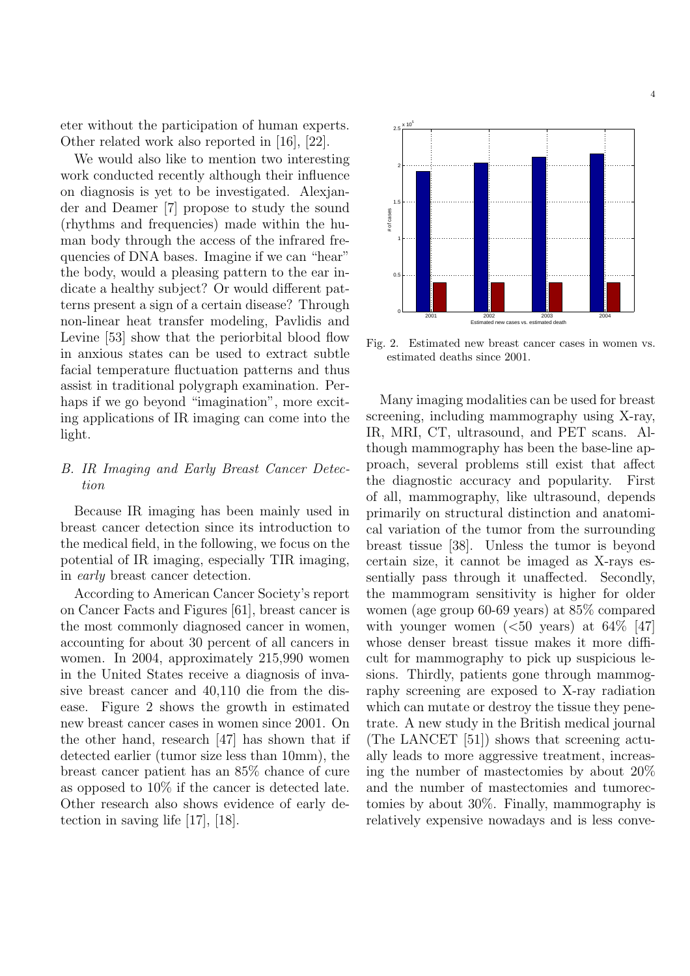eter without the participation of human experts. Other related work also reported in [16], [22].

We would also like to mention two interesting work conducted recently although their influence on diagnosis is yet to be investigated. Alexjander and Deamer [7] propose to study the sound (rhythms and frequencies) made within the human body through the access of the infrared frequencies of DNA bases. Imagine if we can "hear" the body, would a pleasing pattern to the ear indicate a healthy subject? Or would different patterns present a sign of a certain disease? Through non-linear heat transfer modeling, Pavlidis and Levine [53] show that the periorbital blood flow in anxious states can be used to extract subtle facial temperature fluctuation patterns and thus assist in traditional polygraph examination. Perhaps if we go beyond "imagination", more exciting applications of IR imaging can come into the light.

## B. IR Imaging and Early Breast Cancer Detection

Because IR imaging has been mainly used in breast cancer detection since its introduction to the medical field, in the following, we focus on the potential of IR imaging, especially TIR imaging, in early breast cancer detection.

According to American Cancer Society's report on Cancer Facts and Figures [61], breast cancer is the most commonly diagnosed cancer in women, accounting for about 30 percent of all cancers in women. In 2004, approximately 215,990 women in the United States receive a diagnosis of invasive breast cancer and 40,110 die from the disease. Figure 2 shows the growth in estimated new breast cancer cases in women since 2001. On the other hand, research [47] has shown that if detected earlier (tumor size less than 10mm), the breast cancer patient has an 85% chance of cure as opposed to 10% if the cancer is detected late. Other research also shows evidence of early detection in saving life [17], [18].



Fig. 2. Estimated new breast cancer cases in women vs. estimated deaths since 2001.

Many imaging modalities can be used for breast screening, including mammography using X-ray, IR, MRI, CT, ultrasound, and PET scans. Although mammography has been the base-line approach, several problems still exist that affect the diagnostic accuracy and popularity. First of all, mammography, like ultrasound, depends primarily on structural distinction and anatomical variation of the tumor from the surrounding breast tissue [38]. Unless the tumor is beyond certain size, it cannot be imaged as X-rays essentially pass through it unaffected. Secondly, the mammogram sensitivity is higher for older women (age group 60-69 years) at 85% compared with younger women  $(*50* years)$  at  $64\%$  [47] whose denser breast tissue makes it more difficult for mammography to pick up suspicious lesions. Thirdly, patients gone through mammography screening are exposed to X-ray radiation which can mutate or destroy the tissue they penetrate. A new study in the British medical journal (The LANCET [51]) shows that screening actually leads to more aggressive treatment, increasing the number of mastectomies by about 20% and the number of mastectomies and tumorectomies by about 30%. Finally, mammography is relatively expensive nowadays and is less conve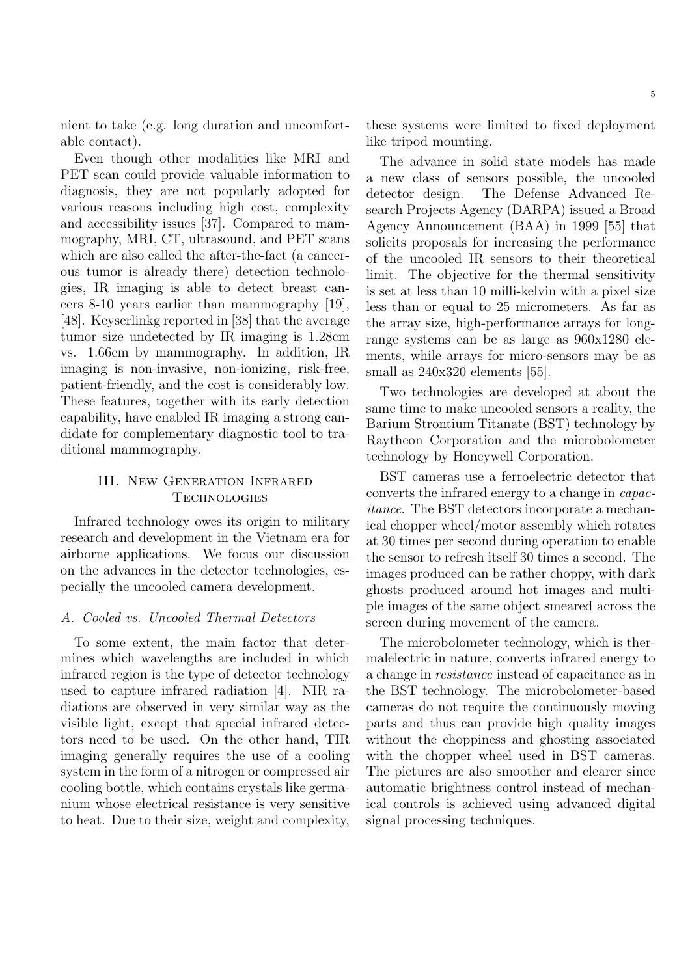nient to take (e.g. long duration and uncomfortable contact).

Even though other modalities like MRI and PET scan could provide valuable information to diagnosis, they are not popularly adopted for various reasons including high cost, complexity and accessibility issues [37]. Compared to mammography, MRI, CT, ultrasound, and PET scans which are also called the after-the-fact (a cancerous tumor is already there) detection technologies, IR imaging is able to detect breast cancers 8-10 years earlier than mammography [19], [48]. Keyserlinkg reported in [38] that the average tumor size undetected by IR imaging is 1.28cm vs. 1.66cm by mammography. In addition, IR imaging is non-invasive, non-ionizing, risk-free, patient-friendly, and the cost is considerably low. These features, together with its early detection capability, have enabled IR imaging a strong candidate for complementary diagnostic tool to traditional mammography.

### III. New Generation Infrared **TECHNOLOGIES**

Infrared technology owes its origin to military research and development in the Vietnam era for airborne applications. We focus our discussion on the advances in the detector technologies, especially the uncooled camera development.

### A. Cooled vs. Uncooled Thermal Detectors

To some extent, the main factor that determines which wavelengths are included in which infrared region is the type of detector technology used to capture infrared radiation [4]. NIR radiations are observed in very similar way as the visible light, except that special infrared detectors need to be used. On the other hand, TIR imaging generally requires the use of a cooling system in the form of a nitrogen or compressed air cooling bottle, which contains crystals like germanium whose electrical resistance is very sensitive to heat. Due to their size, weight and complexity, these systems were limited to fixed deployment like tripod mounting.

The advance in solid state models has made a new class of sensors possible, the uncooled detector design. The Defense Advanced Research Projects Agency (DARPA) issued a Broad Agency Announcement (BAA) in 1999 [55] that solicits proposals for increasing the performance of the uncooled IR sensors to their theoretical limit. The objective for the thermal sensitivity is set at less than 10 milli-kelvin with a pixel size less than or equal to 25 micrometers. As far as the array size, high-performance arrays for longrange systems can be as large as 960x1280 elements, while arrays for micro-sensors may be as small as  $240x320$  elements [55].

Two technologies are developed at about the same time to make uncooled sensors a reality, the Barium Strontium Titanate (BST) technology by Raytheon Corporation and the microbolometer technology by Honeywell Corporation.

BST cameras use a ferroelectric detector that converts the infrared energy to a change in capacitance. The BST detectors incorporate a mechanical chopper wheel/motor assembly which rotates at 30 times per second during operation to enable the sensor to refresh itself 30 times a second. The images produced can be rather choppy, with dark ghosts produced around hot images and multiple images of the same object smeared across the screen during movement of the camera.

The microbolometer technology, which is thermalelectric in nature, converts infrared energy to a change in resistance instead of capacitance as in the BST technology. The microbolometer-based cameras do not require the continuously moving parts and thus can provide high quality images without the choppiness and ghosting associated with the chopper wheel used in BST cameras. The pictures are also smoother and clearer since automatic brightness control instead of mechanical controls is achieved using advanced digital signal processing techniques.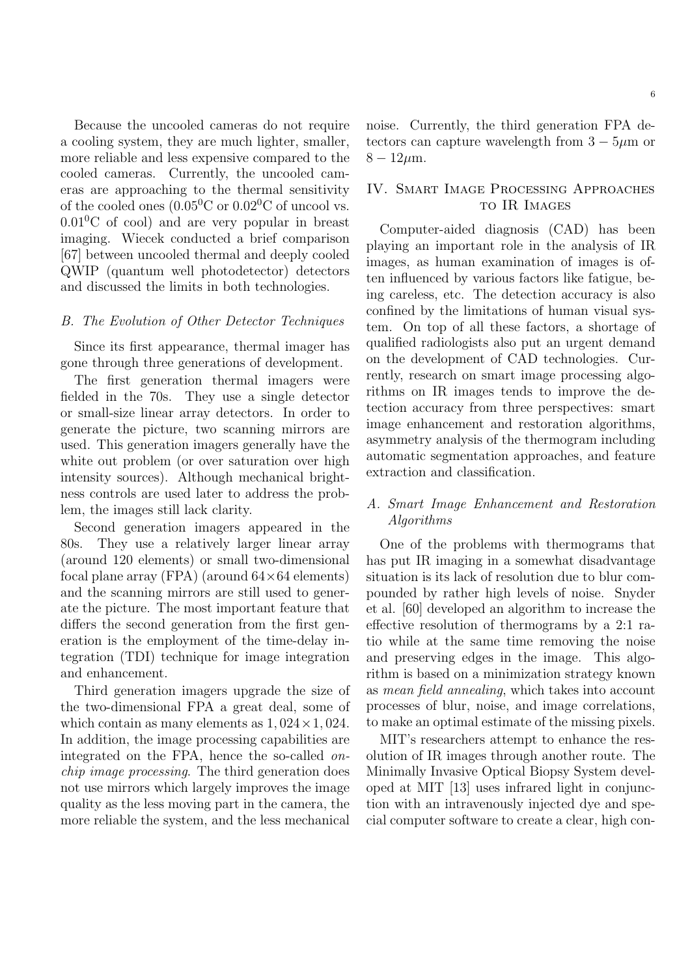Because the uncooled cameras do not require a cooling system, they are much lighter, smaller, more reliable and less expensive compared to the cooled cameras. Currently, the uncooled cameras are approaching to the thermal sensitivity of the cooled ones  $(0.05^0C \text{ or } 0.02^0C \text{ of uncool vs.})$  $0.01\textsuperscript{0}$ C of cool) and are very popular in breast imaging. Wiecek conducted a brief comparison [67] between uncooled thermal and deeply cooled QWIP (quantum well photodetector) detectors and discussed the limits in both technologies.

#### B. The Evolution of Other Detector Techniques

Since its first appearance, thermal imager has gone through three generations of development.

The first generation thermal imagers were fielded in the 70s. They use a single detector or small-size linear array detectors. In order to generate the picture, two scanning mirrors are used. This generation imagers generally have the white out problem (or over saturation over high intensity sources). Although mechanical brightness controls are used later to address the problem, the images still lack clarity.

Second generation imagers appeared in the 80s. They use a relatively larger linear array (around 120 elements) or small two-dimensional focal plane array (FPA) (around  $64\times64$  elements) and the scanning mirrors are still used to generate the picture. The most important feature that differs the second generation from the first generation is the employment of the time-delay integration (TDI) technique for image integration and enhancement.

Third generation imagers upgrade the size of the two-dimensional FPA a great deal, some of which contain as many elements as  $1,024 \times 1,024$ . In addition, the image processing capabilities are integrated on the FPA, hence the so-called onchip image processing. The third generation does not use mirrors which largely improves the image quality as the less moving part in the camera, the more reliable the system, and the less mechanical noise. Currently, the third generation FPA detectors can capture wavelength from  $3 - 5\mu m$  or  $8 - 12 \mu m$ .

## IV. Smart Image Processing Approaches to IR Images

Computer-aided diagnosis (CAD) has been playing an important role in the analysis of IR images, as human examination of images is often influenced by various factors like fatigue, being careless, etc. The detection accuracy is also confined by the limitations of human visual system. On top of all these factors, a shortage of qualified radiologists also put an urgent demand on the development of CAD technologies. Currently, research on smart image processing algorithms on IR images tends to improve the detection accuracy from three perspectives: smart image enhancement and restoration algorithms, asymmetry analysis of the thermogram including automatic segmentation approaches, and feature extraction and classification.

## A. Smart Image Enhancement and Restoration Algorithms

One of the problems with thermograms that has put IR imaging in a somewhat disadvantage situation is its lack of resolution due to blur compounded by rather high levels of noise. Snyder et al. [60] developed an algorithm to increase the effective resolution of thermograms by a 2:1 ratio while at the same time removing the noise and preserving edges in the image. This algorithm is based on a minimization strategy known as mean field annealing, which takes into account processes of blur, noise, and image correlations, to make an optimal estimate of the missing pixels.

MIT's researchers attempt to enhance the resolution of IR images through another route. The Minimally Invasive Optical Biopsy System developed at MIT [13] uses infrared light in conjunction with an intravenously injected dye and special computer software to create a clear, high con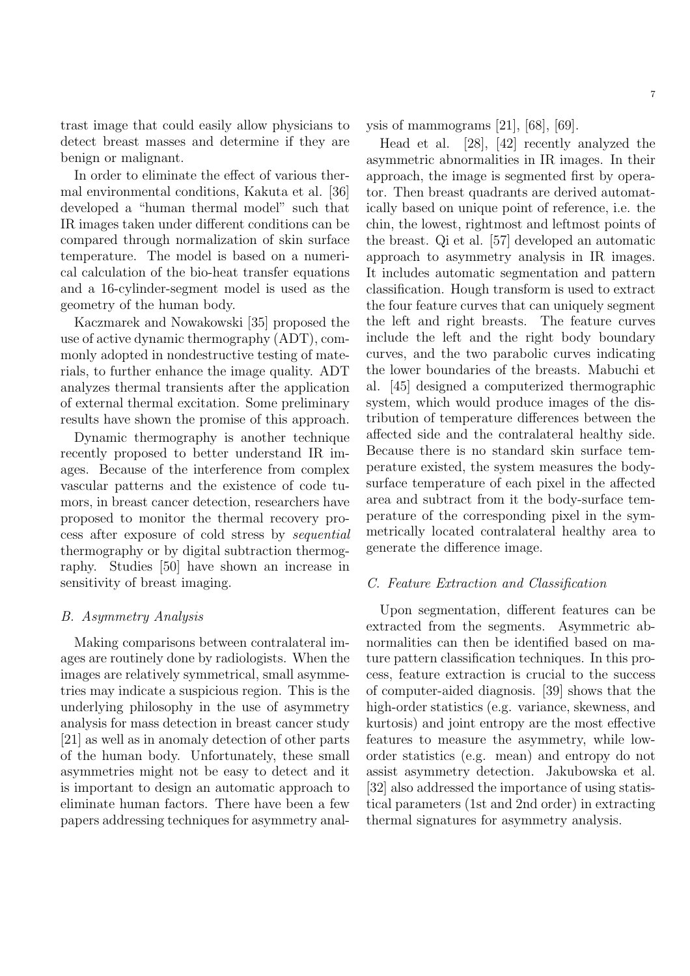trast image that could easily allow physicians to detect breast masses and determine if they are benign or malignant.

In order to eliminate the effect of various thermal environmental conditions, Kakuta et al. [36] developed a "human thermal model" such that IR images taken under different conditions can be compared through normalization of skin surface temperature. The model is based on a numerical calculation of the bio-heat transfer equations and a 16-cylinder-segment model is used as the geometry of the human body.

Kaczmarek and Nowakowski [35] proposed the use of active dynamic thermography (ADT), commonly adopted in nondestructive testing of materials, to further enhance the image quality. ADT analyzes thermal transients after the application of external thermal excitation. Some preliminary results have shown the promise of this approach.

Dynamic thermography is another technique recently proposed to better understand IR images. Because of the interference from complex vascular patterns and the existence of code tumors, in breast cancer detection, researchers have proposed to monitor the thermal recovery process after exposure of cold stress by sequential thermography or by digital subtraction thermography. Studies [50] have shown an increase in sensitivity of breast imaging.

#### B. Asymmetry Analysis

Making comparisons between contralateral images are routinely done by radiologists. When the images are relatively symmetrical, small asymmetries may indicate a suspicious region. This is the underlying philosophy in the use of asymmetry analysis for mass detection in breast cancer study [21] as well as in anomaly detection of other parts of the human body. Unfortunately, these small asymmetries might not be easy to detect and it is important to design an automatic approach to eliminate human factors. There have been a few papers addressing techniques for asymmetry analysis of mammograms [21], [68], [69].

Head et al. [28], [42] recently analyzed the asymmetric abnormalities in IR images. In their approach, the image is segmented first by operator. Then breast quadrants are derived automatically based on unique point of reference, i.e. the chin, the lowest, rightmost and leftmost points of the breast. Qi et al. [57] developed an automatic approach to asymmetry analysis in IR images. It includes automatic segmentation and pattern classification. Hough transform is used to extract the four feature curves that can uniquely segment the left and right breasts. The feature curves include the left and the right body boundary curves, and the two parabolic curves indicating the lower boundaries of the breasts. Mabuchi et al. [45] designed a computerized thermographic system, which would produce images of the distribution of temperature differences between the affected side and the contralateral healthy side. Because there is no standard skin surface temperature existed, the system measures the bodysurface temperature of each pixel in the affected area and subtract from it the body-surface temperature of the corresponding pixel in the symmetrically located contralateral healthy area to generate the difference image.

#### C. Feature Extraction and Classification

Upon segmentation, different features can be extracted from the segments. Asymmetric abnormalities can then be identified based on mature pattern classification techniques. In this process, feature extraction is crucial to the success of computer-aided diagnosis. [39] shows that the high-order statistics (e.g. variance, skewness, and kurtosis) and joint entropy are the most effective features to measure the asymmetry, while loworder statistics (e.g. mean) and entropy do not assist asymmetry detection. Jakubowska et al. [32] also addressed the importance of using statistical parameters (1st and 2nd order) in extracting thermal signatures for asymmetry analysis.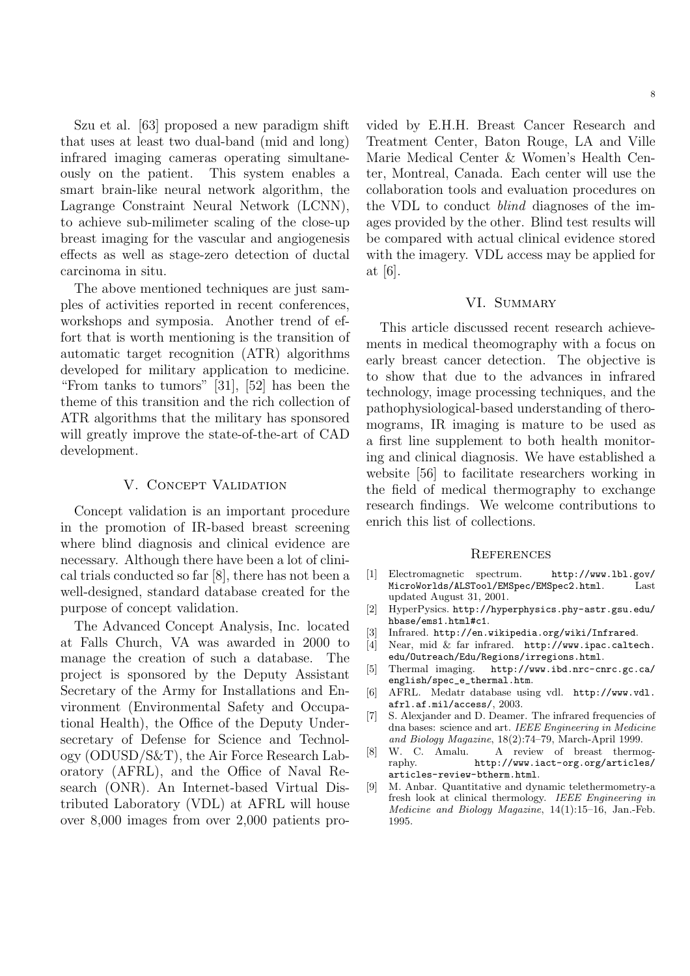Szu et al. [63] proposed a new paradigm shift that uses at least two dual-band (mid and long) infrared imaging cameras operating simultaneously on the patient. This system enables a smart brain-like neural network algorithm, the Lagrange Constraint Neural Network (LCNN), to achieve sub-milimeter scaling of the close-up breast imaging for the vascular and angiogenesis effects as well as stage-zero detection of ductal carcinoma in situ.

The above mentioned techniques are just samples of activities reported in recent conferences, workshops and symposia. Another trend of effort that is worth mentioning is the transition of automatic target recognition (ATR) algorithms developed for military application to medicine. "From tanks to tumors" [31], [52] has been the theme of this transition and the rich collection of ATR algorithms that the military has sponsored will greatly improve the state-of-the-art of CAD development.

#### V. CONCEPT VALIDATION

Concept validation is an important procedure in the promotion of IR-based breast screening where blind diagnosis and clinical evidence are necessary. Although there have been a lot of clinical trials conducted so far [8], there has not been a well-designed, standard database created for the purpose of concept validation.

The Advanced Concept Analysis, Inc. located at Falls Church, VA was awarded in 2000 to manage the creation of such a database. The project is sponsored by the Deputy Assistant Secretary of the Army for Installations and Environment (Environmental Safety and Occupational Health), the Office of the Deputy Undersecretary of Defense for Science and Technology (ODUSD/S&T), the Air Force Research Laboratory (AFRL), and the Office of Naval Research (ONR). An Internet-based Virtual Distributed Laboratory (VDL) at AFRL will house over 8,000 images from over 2,000 patients provided by E.H.H. Breast Cancer Research and Treatment Center, Baton Rouge, LA and Ville Marie Medical Center & Women's Health Center, Montreal, Canada. Each center will use the collaboration tools and evaluation procedures on the VDL to conduct blind diagnoses of the images provided by the other. Blind test results will be compared with actual clinical evidence stored with the imagery. VDL access may be applied for at [6].

#### VI. SUMMARY

This article discussed recent research achievements in medical theomography with a focus on early breast cancer detection. The objective is to show that due to the advances in infrared technology, image processing techniques, and the pathophysiological-based understanding of theromograms, IR imaging is mature to be used as a first line supplement to both health monitoring and clinical diagnosis. We have established a website [56] to facilitate researchers working in the field of medical thermography to exchange research findings. We welcome contributions to enrich this list of collections.

#### **REFERENCES**

- [1] Electromagnetic spectrum. http://www.lbl.gov/ MicroWorlds/ALSTool/EMSpec/EMSpec2.html. Last updated August 31, 2001.
- [2] HyperPysics. http://hyperphysics.phy-astr.gsu.edu/ hbase/ems1.html#c1.
- [3] Infrared. http://en.wikipedia.org/wiki/Infrared.
- [4] Near, mid & far infrared. http://www.ipac.caltech. edu/Outreach/Edu/Regions/irregions.html.
- [5] Thermal imaging. http://www.ibd.nrc-cnrc.gc.ca/ english/spec\_e\_thermal.htm.
- [6] AFRL. Medatr database using vdl. http://www.vdl. afrl.af.mil/access/, 2003.
- [7] S. Alexjander and D. Deamer. The infrared frequencies of dna bases: science and art. IEEE Engineering in Medicine and Biology Magazine, 18(2):74–79, March-April 1999.
- [8] W. C. Amalu. A review of breast thermography. http://www.iact-org.org/articles/ articles-review-btherm.html.
- [9] M. Anbar. Quantitative and dynamic telethermometry-a fresh look at clinical thermology. IEEE Engineering in Medicine and Biology Magazine, 14(1):15–16, Jan.-Feb. 1995.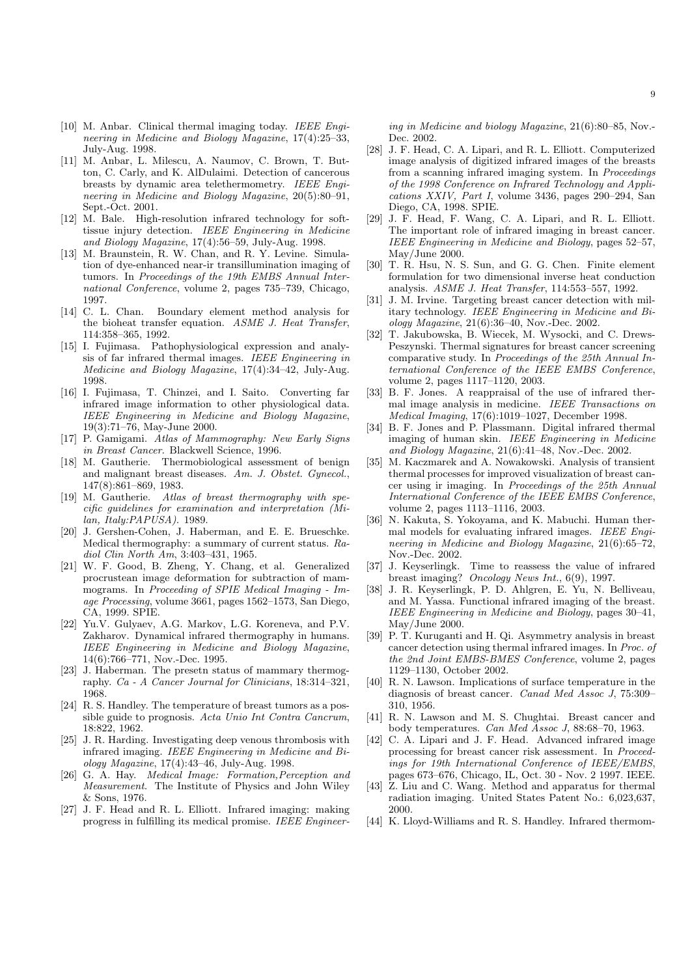- [10] M. Anbar. Clinical thermal imaging today. IEEE Engineering in Medicine and Biology Magazine, 17(4):25–33, July-Aug. 1998.
- [11] M. Anbar, L. Milescu, A. Naumov, C. Brown, T. Button, C. Carly, and K. AlDulaimi. Detection of cancerous breasts by dynamic area telethermometry. IEEE Engineering in Medicine and Biology Magazine, 20(5):80–91, Sept.-Oct. 2001.
- [12] M. Bale. High-resolution infrared technology for softtissue injury detection. IEEE Engineering in Medicine and Biology Magazine, 17(4):56–59, July-Aug. 1998.
- [13] M. Braunstein, R. W. Chan, and R. Y. Levine. Simulation of dye-enhanced near-ir transillumination imaging of tumors. In Proceedings of the 19th EMBS Annual International Conference, volume 2, pages 735–739, Chicago, 1997.
- [14] C. L. Chan. Boundary element method analysis for the bioheat transfer equation. ASME J. Heat Transfer, 114:358–365, 1992.
- [15] I. Fujimasa. Pathophysiological expression and analysis of far infrared thermal images. IEEE Engineering in Medicine and Biology Magazine, 17(4):34–42, July-Aug. 1998.
- [16] I. Fujimasa, T. Chinzei, and I. Saito. Converting far infrared image information to other physiological data. IEEE Engineering in Medicine and Biology Magazine, 19(3):71–76, May-June 2000.
- [17] P. Gamigami. Atlas of Mammography: New Early Signs in Breast Cancer. Blackwell Science, 1996.
- [18] M. Gautherie. Thermobiological assessment of benign and malignant breast diseases. Am. J. Obstet. Gynecol., 147(8):861–869, 1983.
- [19] M. Gautherie. Atlas of breast thermography with specific guidelines for examination and interpretation (Milan, Italy:PAPUSA). 1989.
- [20] J. Gershen-Cohen, J. Haberman, and E. E. Brueschke. Medical thermography: a summary of current status. Radiol Clin North Am, 3:403–431, 1965.
- [21] W. F. Good, B. Zheng, Y. Chang, et al. Generalized procrustean image deformation for subtraction of mammograms. In Proceeding of SPIE Medical Imaging - Image Processing, volume 3661, pages 1562–1573, San Diego, CA, 1999. SPIE.
- [22] Yu.V. Gulyaev, A.G. Markov, L.G. Koreneva, and P.V. Zakharov. Dynamical infrared thermography in humans. IEEE Engineering in Medicine and Biology Magazine, 14(6):766–771, Nov.-Dec. 1995.
- [23] J. Haberman. The presetn status of mammary thermography. Ca - A Cancer Journal for Clinicians, 18:314–321, 1968.
- [24] R. S. Handley. The temperature of breast tumors as a possible guide to prognosis. Acta Unio Int Contra Cancrum, 18:822, 1962.
- [25] J. R. Harding. Investigating deep venous thrombosis with infrared imaging. IEEE Engineering in Medicine and Biology Magazine, 17(4):43–46, July-Aug. 1998.
- [26] G. A. Hay. Medical Image: Formation,Perception and Measurement. The Institute of Physics and John Wiley & Sons, 1976.
- [27] J. F. Head and R. L. Elliott. Infrared imaging: making progress in fulfilling its medical promise. IEEE Engineer-

ing in Medicine and biology Magazine, 21(6):80–85, Nov.- Dec. 2002.

- [28] J. F. Head, C. A. Lipari, and R. L. Elliott. Computerized image analysis of digitized infrared images of the breasts from a scanning infrared imaging system. In Proceedings of the 1998 Conference on Infrared Technology and Applications XXIV, Part I, volume 3436, pages 290–294, San Diego, CA, 1998. SPIE.
- [29] J. F. Head, F. Wang, C. A. Lipari, and R. L. Elliott. The important role of infrared imaging in breast cancer. IEEE Engineering in Medicine and Biology, pages 52–57, May/June 2000.
- [30] T. R. Hsu, N. S. Sun, and G. G. Chen. Finite element formulation for two dimensional inverse heat conduction analysis. ASME J. Heat Transfer, 114:553–557, 1992.
- [31] J. M. Irvine. Targeting breast cancer detection with military technology. IEEE Engineering in Medicine and Biology Magazine, 21(6):36–40, Nov.-Dec. 2002.
- [32] T. Jakubowska, B. Wiecek, M. Wysocki, and C. Drews-Peszynski. Thermal signatures for breast cancer screening comparative study. In Proceedings of the 25th Annual International Conference of the IEEE EMBS Conference, volume 2, pages 1117–1120, 2003.
- [33] B. F. Jones. A reappraisal of the use of infrared thermal image analysis in medicine. IEEE Transactions on Medical Imaging, 17(6):1019–1027, December 1998.
- [34] B. F. Jones and P. Plassmann. Digital infrared thermal imaging of human skin. IEEE Engineering in Medicine and Biology Magazine, 21(6):41–48, Nov.-Dec. 2002.
- [35] M. Kaczmarek and A. Nowakowski. Analysis of transient thermal processes for improved visualization of breast cancer using ir imaging. In Proceedings of the 25th Annual International Conference of the IEEE EMBS Conference, volume 2, pages 1113–1116, 2003.
- [36] N. Kakuta, S. Yokoyama, and K. Mabuchi. Human thermal models for evaluating infrared images. IEEE Engineering in Medicine and Biology Magazine, 21(6):65–72, Nov.-Dec. 2002.
- [37] J. Keyserlingk. Time to reassess the value of infrared breast imaging? Oncology News Int., 6(9), 1997.
- [38] J. R. Keyserlingk, P. D. Ahlgren, E. Yu, N. Belliveau, and M. Yassa. Functional infrared imaging of the breast. IEEE Engineering in Medicine and Biology, pages 30–41, May/June 2000.
- [39] P. T. Kuruganti and H. Qi. Asymmetry analysis in breast cancer detection using thermal infrared images. In Proc. of the 2nd Joint EMBS-BMES Conference, volume 2, pages 1129–1130, October 2002.
- [40] R. N. Lawson. Implications of surface temperature in the diagnosis of breast cancer. *Canad Med Assoc J*, 75:309– 310, 1956.
- [41] R. N. Lawson and M. S. Chughtai. Breast cancer and body temperatures. Can Med Assoc J, 88:68–70, 1963.
- [42] C. A. Lipari and J. F. Head. Advanced infrared image processing for breast cancer risk assessment. In Proceedings for 19th International Conference of IEEE/EMBS, pages 673–676, Chicago, IL, Oct. 30 - Nov. 2 1997. IEEE.
- [43] Z. Liu and C. Wang. Method and apparatus for thermal radiation imaging. United States Patent No.: 6,023,637, 2000.
- [44] K. Lloyd-Williams and R. S. Handley. Infrared thermom-